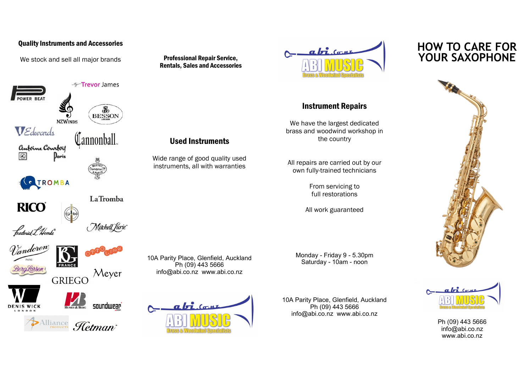## Quality Instruments and Accessories

We stock and sell all major brands



Alliance Hetman



Used Instruments



## Instrument Repairs

We have the largest dedicated brass and woodwind workshop in the country

All repairs are carried out by our own fully-trained technicians

> From servicing to full restorations

All work guaranteed

Monday - Friday 9 - 5.30pm Saturday - 10am - noon

10A Parity Place, Glenfield, Auckland Ph (09) 443 5666 info@abi.co.nz www.abi.co.nz

## **HOW TO CARE FOR**





Ph (09) 443 5666 info@abi.co.nz www.abi.co.nz

10A Parity Place, Glenfield, Auckland Ph (09) 443 5666 info@abi.co.nz www.abi.co.nz